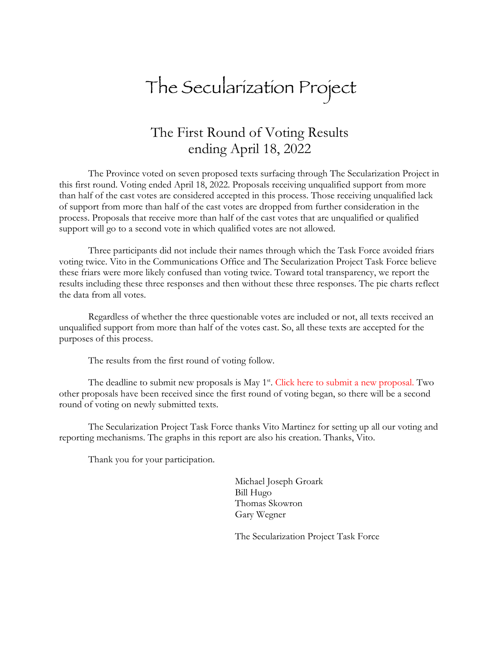# The Secularization Project

# The First Round of Voting Results ending April 18, 2022

The Province voted on seven proposed texts surfacing through The Secularization Project in this first round. Voting ended April 18, 2022. Proposals receiving unqualified support from more than half of the cast votes are considered accepted in this process. Those receiving unqualified lack of support from more than half of the cast votes are dropped from further consideration in the process. Proposals that receive more than half of the cast votes that are unqualified or qualified support will go to a second vote in which qualified votes are not allowed.

Three participants did not include their names through which the Task Force avoided friars voting twice. Vito in the Communications Office and The Secularization Project Task Force believe these friars were more likely confused than voting twice. Toward total transparency, we report the results including these three responses and then without these three responses. The pie charts reflect the data from all votes.

Regardless of whether the three questionable votes are included or not, all texts received an unqualified support from more than half of the votes cast. So, all these texts are accepted for the purposes of this process.

The results from the first round of voting follow.

The deadline to submit new proposals is May  $1<sup>st</sup>$ . Click here to submit a new proposal. Two other proposals have been received since the first round of voting began, so there will be a second round of voting on newly submitted texts.

The Secularization Project Task Force thanks Vito Martinez for setting up all our voting and reporting mechanisms. The graphs in this report are also his creation. Thanks, Vito.

Thank you for your participation.

Michael Joseph Groark Bill Hugo Thomas Skowron Gary Wegner

The Secularization Project Task Force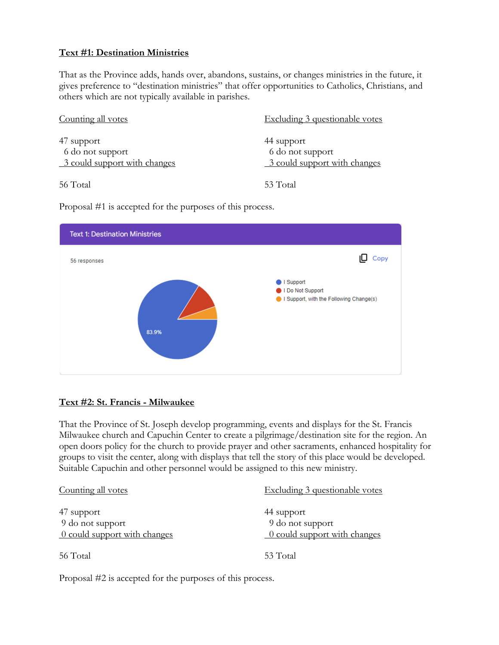# **Text #1: Destination Ministries**

That as the Province adds, hands over, abandons, sustains, or changes ministries in the future, it gives preference to "destination ministries" that offer opportunities to Catholics, Christians, and others which are not typically available in parishes.

| Counting all votes                                             | Excluding 3 questionable votes                                 |
|----------------------------------------------------------------|----------------------------------------------------------------|
| 47 support<br>6 do not support<br>3 could support with changes | 44 support<br>6 do not support<br>3 could support with changes |
| 56 Total                                                       | 53 Total                                                       |

Proposal #1 is accepted for the purposes of this process.



# **Text #2: St. Francis - Milwaukee**

That the Province of St. Joseph develop programming, events and displays for the St. Francis Milwaukee church and Capuchin Center to create a pilgrimage/destination site for the region. An open doors policy for the church to provide prayer and other sacraments, enhanced hospitality for groups to visit the center, along with displays that tell the story of this place would be developed. Suitable Capuchin and other personnel would be assigned to this new ministry.

| Counting all votes                                                                 | Excluding 3 questionable votes                                 |
|------------------------------------------------------------------------------------|----------------------------------------------------------------|
| 47 support<br>9 do not support<br>$\frac{0 \text{ could support with changes}}{0}$ | 44 support<br>9 do not support<br>0 could support with changes |
| 56 Total                                                                           | 53 Total                                                       |

Proposal #2 is accepted for the purposes of this process.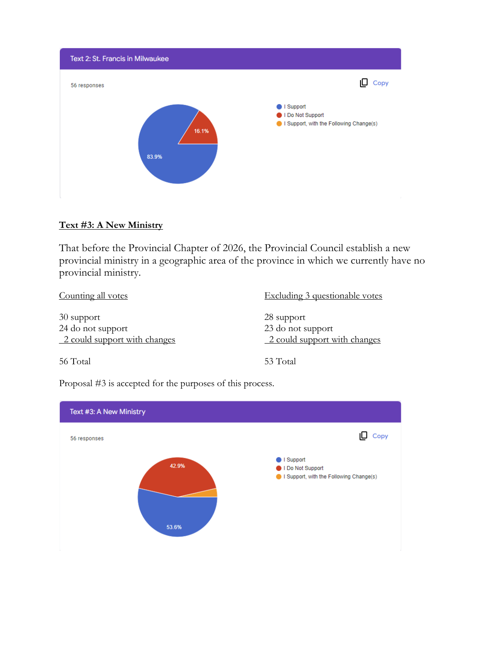

# **Text #3: A New Ministry**

That before the Provincial Chapter of 2026, the Provincial Council establish a new provincial ministry in a geographic area of the province in which we currently have no provincial ministry.

| Counting all votes                                              | Excluding 3 questionable votes                                  |
|-----------------------------------------------------------------|-----------------------------------------------------------------|
| 30 support<br>24 do not support<br>2 could support with changes | 28 support<br>23 do not support<br>2 could support with changes |
| 56 Total                                                        | 53 Total                                                        |

Proposal #3 is accepted for the purposes of this process.

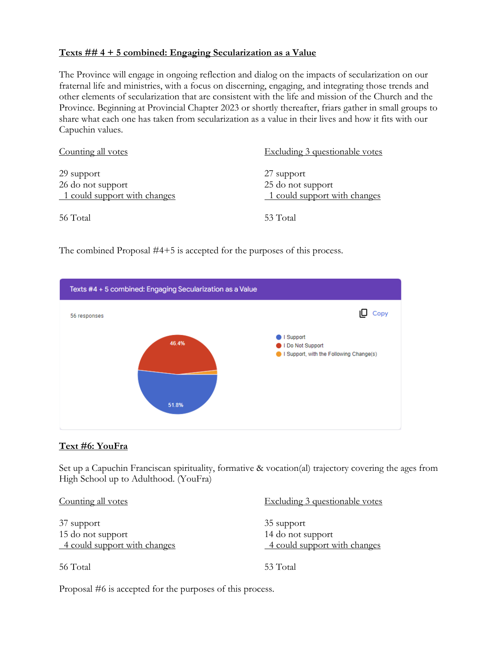#### **Texts ## 4 + 5 combined: Engaging Secularization as a Value**

The Province will engage in ongoing reflection and dialog on the impacts of secularization on our fraternal life and ministries, with a focus on discerning, engaging, and integrating those trends and other elements of secularization that are consistent with the life and mission of the Church and the Province. Beginning at Provincial Chapter 2023 or shortly thereafter, friars gather in small groups to share what each one has taken from secularization as a value in their lives and how it fits with our Capuchin values.

| Counting all votes                                              | <b>Excluding 3 questionable votes</b>                           |
|-----------------------------------------------------------------|-----------------------------------------------------------------|
| 29 support<br>26 do not support<br>1 could support with changes | 27 support<br>25 do not support<br>1 could support with changes |
| 56 Total                                                        | 53 Total                                                        |

The combined Proposal #4+5 is accepted for the purposes of this process.



# **Text #6: YouFra**

Set up a Capuchin Franciscan spirituality, formative & vocation(al) trajectory covering the ages from High School up to Adulthood. (YouFra)

| Counting all votes                                | Excluding 3 questionable votes                    |
|---------------------------------------------------|---------------------------------------------------|
| 37 support                                        | 35 support                                        |
| 15 do not support<br>4 could support with changes | 14 do not support<br>4 could support with changes |
| 56 Total                                          | 53 Total                                          |

Proposal #6 is accepted for the purposes of this process.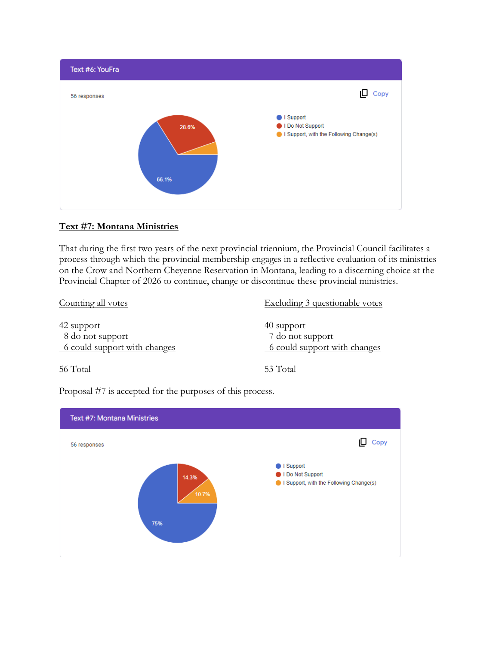

# **Text #7: Montana Ministries**

That during the first two years of the next provincial triennium, the Provincial Council facilitates a process through which the provincial membership engages in a reflective evaluation of its ministries on the Crow and Northern Cheyenne Reservation in Montana, leading to a discerning choice at the Provincial Chapter of 2026 to continue, change or discontinue these provincial ministries.

| Counting all votes                                             | Excluding 3 questionable votes                                 |
|----------------------------------------------------------------|----------------------------------------------------------------|
| 42 support<br>8 do not support<br>6 could support with changes | 40 support<br>7 do not support<br>6 could support with changes |
| 56 Total                                                       | 53 Total                                                       |

Proposal #7 is accepted for the purposes of this process.